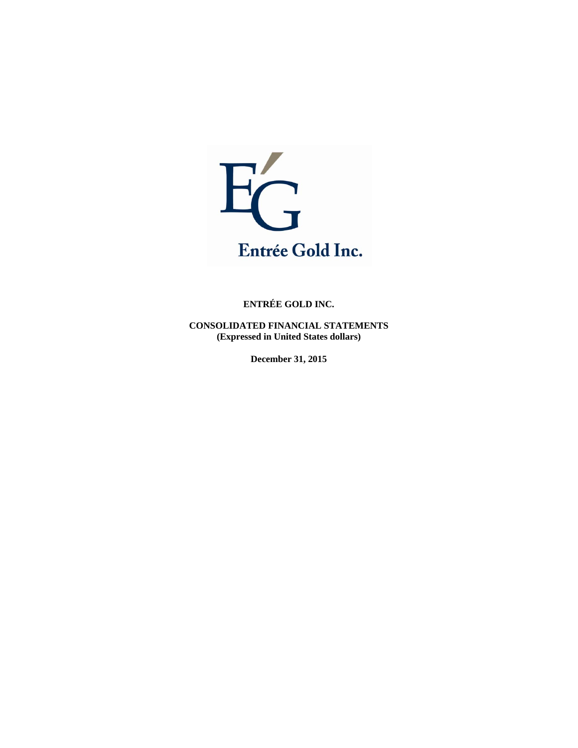

**CONSOLIDATED FINANCIAL STATEMENTS (Expressed in United States dollars)** 

**December 31, 2015**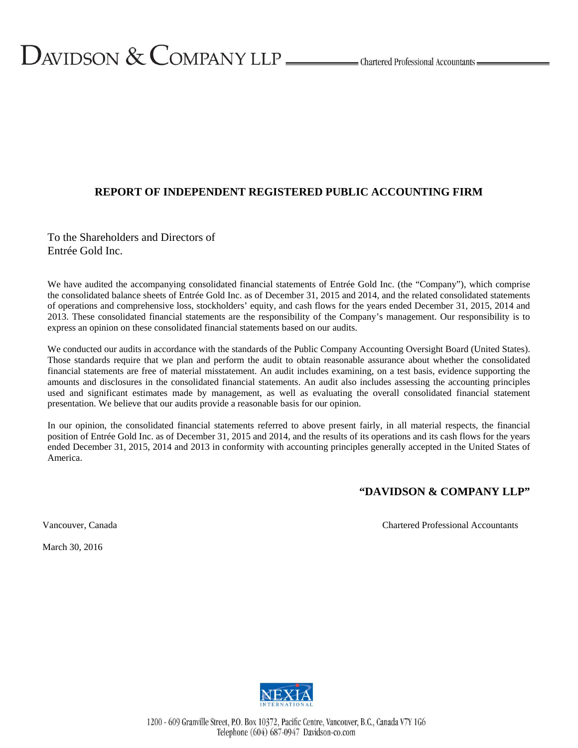## **REPORT OF INDEPENDENT REGISTERED PUBLIC ACCOUNTING FIRM**

To the Shareholders and Directors of Entrée Gold Inc.

We have audited the accompanying consolidated financial statements of Entrée Gold Inc. (the "Company"), which comprise the consolidated balance sheets of Entrée Gold Inc. as of December 31, 2015 and 2014, and the related consolidated statements of operations and comprehensive loss, stockholders' equity, and cash flows for the years ended December 31, 2015, 2014 and 2013. These consolidated financial statements are the responsibility of the Company's management. Our responsibility is to express an opinion on these consolidated financial statements based on our audits.

We conducted our audits in accordance with the standards of the Public Company Accounting Oversight Board (United States). Those standards require that we plan and perform the audit to obtain reasonable assurance about whether the consolidated financial statements are free of material misstatement. An audit includes examining, on a test basis, evidence supporting the amounts and disclosures in the consolidated financial statements. An audit also includes assessing the accounting principles used and significant estimates made by management, as well as evaluating the overall consolidated financial statement presentation. We believe that our audits provide a reasonable basis for our opinion.

In our opinion, the consolidated financial statements referred to above present fairly, in all material respects, the financial position of Entrée Gold Inc. as of December 31, 2015 and 2014, and the results of its operations and its cash flows for the years ended December 31, 2015, 2014 and 2013 in conformity with accounting principles generally accepted in the United States of America.

## **"DAVIDSON & COMPANY LLP"**

Vancouver, Canada Chartered Professional Accountants

March 30, 2016

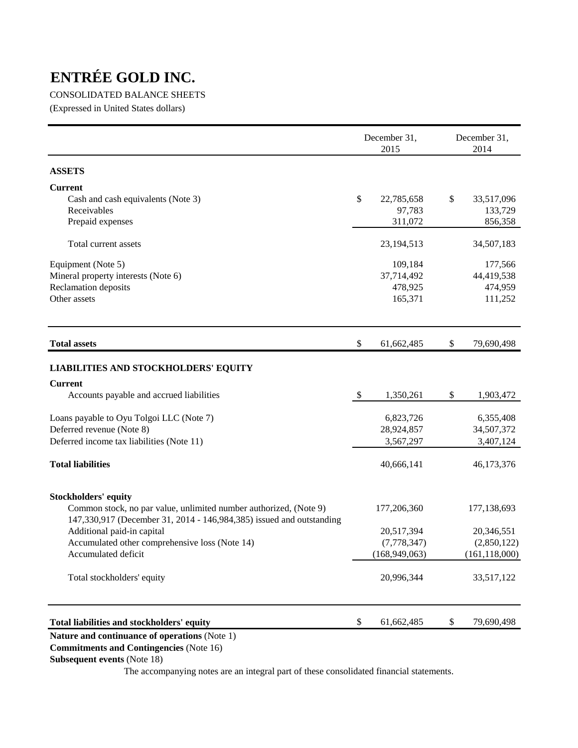## CONSOLIDATED BALANCE SHEETS

(Expressed in United States dollars)

|                                                                                                                                           |                           | December 31,<br>2015 | December 31,<br>2014 |                 |  |
|-------------------------------------------------------------------------------------------------------------------------------------------|---------------------------|----------------------|----------------------|-----------------|--|
| <b>ASSETS</b>                                                                                                                             |                           |                      |                      |                 |  |
| <b>Current</b>                                                                                                                            |                           |                      |                      |                 |  |
| Cash and cash equivalents (Note 3)                                                                                                        | \$                        | 22,785,658           | \$                   | 33,517,096      |  |
| Receivables                                                                                                                               |                           | 97,783               |                      | 133,729         |  |
| Prepaid expenses                                                                                                                          |                           | 311,072              |                      | 856,358         |  |
| Total current assets                                                                                                                      |                           | 23,194,513           |                      | 34,507,183      |  |
| Equipment (Note 5)                                                                                                                        |                           | 109,184              |                      | 177,566         |  |
| Mineral property interests (Note 6)                                                                                                       |                           | 37,714,492           |                      | 44,419,538      |  |
| Reclamation deposits                                                                                                                      |                           | 478,925              |                      | 474,959         |  |
| Other assets                                                                                                                              |                           | 165,371              |                      | 111,252         |  |
| <b>Total assets</b>                                                                                                                       | \$                        | 61,662,485           | \$                   | 79,690,498      |  |
| <b>LIABILITIES AND STOCKHOLDERS' EQUITY</b>                                                                                               |                           |                      |                      |                 |  |
| <b>Current</b>                                                                                                                            |                           |                      |                      |                 |  |
| Accounts payable and accrued liabilities                                                                                                  | $\boldsymbol{\mathsf{S}}$ | 1,350,261            | \$                   | 1,903,472       |  |
| Loans payable to Oyu Tolgoi LLC (Note 7)                                                                                                  |                           | 6,823,726            |                      | 6,355,408       |  |
| Deferred revenue (Note 8)                                                                                                                 |                           | 28,924,857           |                      | 34,507,372      |  |
| Deferred income tax liabilities (Note 11)                                                                                                 |                           | 3,567,297            |                      | 3,407,124       |  |
| <b>Total liabilities</b>                                                                                                                  |                           | 40,666,141           |                      | 46,173,376      |  |
| <b>Stockholders' equity</b>                                                                                                               |                           |                      |                      |                 |  |
| Common stock, no par value, unlimited number authorized, (Note 9)<br>147,330,917 (December 31, 2014 - 146,984,385) issued and outstanding |                           | 177,206,360          |                      | 177,138,693     |  |
| Additional paid-in capital                                                                                                                |                           | 20,517,394           |                      | 20,346,551      |  |
| Accumulated other comprehensive loss (Note 14)                                                                                            |                           | (7,778,347)          |                      | (2,850,122)     |  |
| Accumulated deficit                                                                                                                       |                           | (168, 949, 063)      |                      | (161, 118, 000) |  |
| Total stockholders' equity                                                                                                                |                           | 20,996,344           |                      | 33,517,122      |  |
| Total liabilities and stockholders' equity                                                                                                | \$                        | 61,662,485           | \$                   | 79,690,498      |  |

## **Nature and continuance of operations** (Note 1)

 **Commitments and Contingencies** (Note 16)

## **Subsequent events** (Note 18)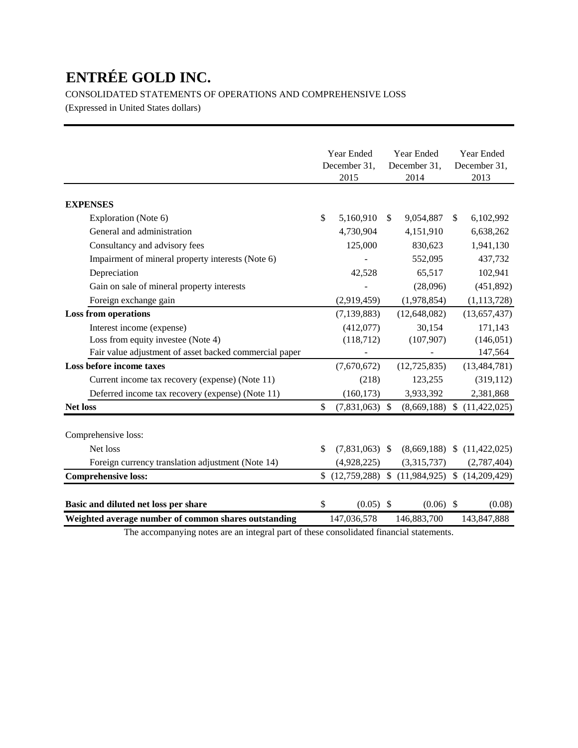CONSOLIDATED STATEMENTS OF OPERATIONS AND COMPREHENSIVE LOSS

(Expressed in United States dollars)

|                                                        |    | Year Ended       | Year Ended   |                                                    |              | Year Ended                      |  |
|--------------------------------------------------------|----|------------------|--------------|----------------------------------------------------|--------------|---------------------------------|--|
|                                                        |    | December 31,     | December 31, |                                                    | December 31, |                                 |  |
|                                                        |    | 2015             |              | 2014                                               |              | 2013                            |  |
| <b>EXPENSES</b>                                        |    |                  |              |                                                    |              |                                 |  |
| Exploration (Note 6)                                   | \$ | 5,160,910        | \$           | 9,054,887                                          | \$           | 6,102,992                       |  |
| General and administration                             |    | 4,730,904        |              | 4,151,910                                          |              | 6,638,262                       |  |
| Consultancy and advisory fees                          |    | 125,000          |              | 830,623                                            |              | 1,941,130                       |  |
| Impairment of mineral property interests (Note 6)      |    |                  |              | 552,095                                            |              | 437,732                         |  |
| Depreciation                                           |    | 42,528           |              | 65,517                                             |              | 102,941                         |  |
| Gain on sale of mineral property interests             |    |                  |              | (28,096)                                           |              | (451, 892)                      |  |
| Foreign exchange gain                                  |    | (2,919,459)      |              | (1,978,854)                                        |              | (1, 113, 728)                   |  |
| <b>Loss from operations</b>                            |    | (7, 139, 883)    |              | (12, 648, 082)                                     |              | (13,657,437)                    |  |
| Interest income (expense)                              |    | (412,077)        |              | 30,154                                             |              | 171,143                         |  |
| Loss from equity investee (Note 4)                     |    | (118, 712)       |              | (107, 907)                                         |              | (146, 051)                      |  |
| Fair value adjustment of asset backed commercial paper |    |                  |              |                                                    |              | 147,564                         |  |
| Loss before income taxes                               |    | (7,670,672)      |              | (12, 725, 835)                                     |              | (13, 484, 781)                  |  |
| Current income tax recovery (expense) (Note 11)        |    | (218)            |              | 123,255                                            |              | (319, 112)                      |  |
| Deferred income tax recovery (expense) (Note 11)       |    | (160, 173)       |              | 3,933,392                                          |              | 2,381,868                       |  |
| <b>Net loss</b>                                        | \$ | $(7,831,063)$ \$ |              | (8,669,188)                                        | $\mathbb{S}$ | (11, 422, 025)                  |  |
| Comprehensive loss:                                    |    |                  |              |                                                    |              |                                 |  |
|                                                        |    |                  |              |                                                    |              |                                 |  |
| Net loss                                               | \$ | $(7,831,063)$ \$ |              |                                                    |              | $(8,669,188)$ \$ $(11,422,025)$ |  |
| Foreign currency translation adjustment (Note 14)      |    | (4,928,225)      |              | (3,315,737)                                        |              | (2,787,404)                     |  |
| <b>Comprehensive loss:</b>                             |    |                  |              | $$$ (12,759,288) $$$ (11,984,925) $$$ (14,209,429) |              |                                 |  |
| Basic and diluted net loss per share                   | \$ | $(0.05)$ \$      |              | $(0.06)$ \$                                        |              | (0.08)                          |  |
| Weighted average number of common shares outstanding   |    | 147,036,578      |              | 146,883,700                                        |              | 143,847,888                     |  |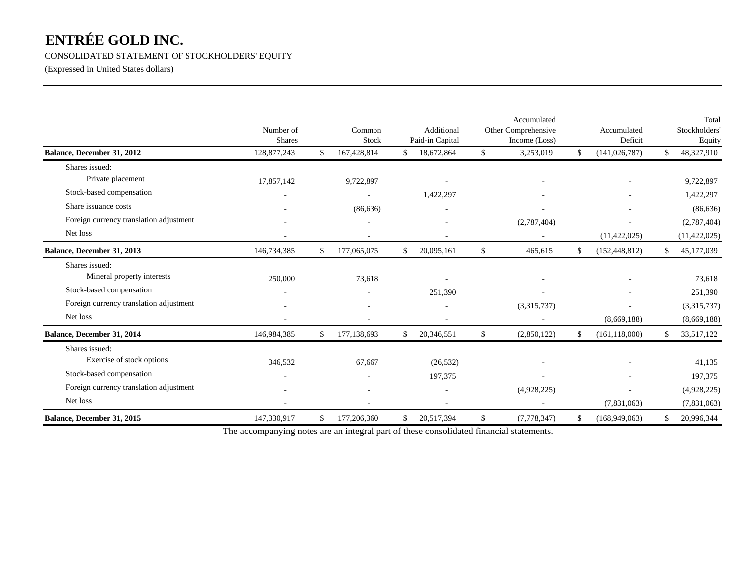CONSOLIDATED STATEMENT OF STOCKHOLDERS' EQUITY

(Expressed in United States dollars)

|                                         | Number of<br><b>Shares</b> | Common<br>Stock   | Additional<br>Paid-in Capital | Accumulated<br>Other Comprehensive<br>Income (Loss) | Accumulated<br>Deficit |     | Total<br>Stockholders<br>Equity |
|-----------------------------------------|----------------------------|-------------------|-------------------------------|-----------------------------------------------------|------------------------|-----|---------------------------------|
| Balance, December 31, 2012              | 128,877,243                | \$<br>167,428,814 | \$<br>18,672,864              | \$<br>3,253,019                                     | \$<br>(141, 026, 787)  | \$. | 48,327,910                      |
| Shares issued:                          |                            |                   |                               |                                                     |                        |     |                                 |
| Private placement                       | 17,857,142                 | 9,722,897         |                               |                                                     |                        |     | 9,722,897                       |
| Stock-based compensation                |                            |                   | 1,422,297                     |                                                     |                        |     | 1,422,297                       |
| Share issuance costs                    |                            | (86, 636)         |                               |                                                     |                        |     | (86, 636)                       |
| Foreign currency translation adjustment |                            | ٠                 | ٠                             | (2,787,404)                                         |                        |     | (2,787,404)                     |
| Net loss                                |                            |                   |                               |                                                     | (11, 422, 025)         |     | (11, 422, 025)                  |
| Balance, December 31, 2013              | 146,734,385                | \$<br>177,065,075 | \$<br>20,095,161              | \$<br>465,615                                       | \$<br>(152, 448, 812)  | \$  | 45,177,039                      |
| Shares issued:                          |                            |                   |                               |                                                     |                        |     |                                 |
| Mineral property interests              | 250,000                    | 73,618            |                               |                                                     |                        |     | 73,618                          |
| Stock-based compensation                |                            |                   | 251,390                       |                                                     |                        |     | 251,390                         |
| Foreign currency translation adjustment |                            |                   |                               | (3,315,737)                                         |                        |     | (3,315,737)                     |
| Net loss                                |                            |                   |                               |                                                     | (8,669,188)            |     | (8,669,188)                     |
| Balance, December 31, 2014              | 146,984,385                | \$<br>177,138,693 | \$<br>20,346,551              | \$<br>(2,850,122)                                   | \$<br>(161, 118, 000)  | \$. | 33,517,122                      |
| Shares issued:                          |                            |                   |                               |                                                     |                        |     |                                 |
| Exercise of stock options               | 346,532                    | 67,667            | (26, 532)                     |                                                     |                        |     | 41,135                          |
| Stock-based compensation                |                            |                   | 197,375                       |                                                     |                        |     | 197,375                         |
| Foreign currency translation adjustment |                            | ٠                 | $\overline{a}$                | (4,928,225)                                         | ٠                      |     | (4,928,225)                     |
| Net loss                                |                            |                   |                               |                                                     | (7,831,063)            |     | (7,831,063)                     |
| Balance, December 31, 2015              | 147,330,917                | \$<br>177,206,360 | \$<br>20,517,394              | \$<br>(7,778,347)                                   | \$<br>(168,949,063)    | \$  | 20,996,344                      |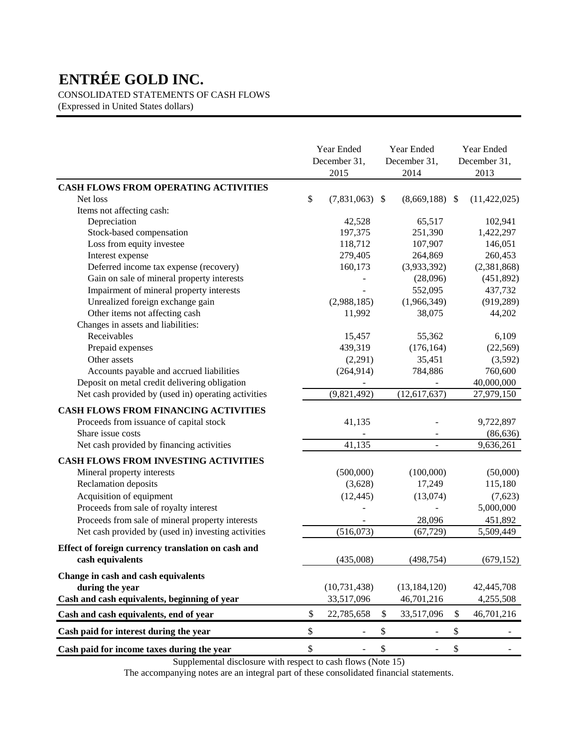CONSOLIDATED STATEMENTS OF CASH FLOWS

(Expressed in United States dollars)

|                                                     | Year Ended<br>December 31,<br>2015 |    | Year Ended<br>December 31,<br>2014 |    | Year Ended<br>December 31,<br>2013 |  |
|-----------------------------------------------------|------------------------------------|----|------------------------------------|----|------------------------------------|--|
| <b>CASH FLOWS FROM OPERATING ACTIVITIES</b>         |                                    |    |                                    |    |                                    |  |
| Net loss                                            | \$<br>$(7,831,063)$ \$             |    | $(8,669,188)$ \$                   |    | (11, 422, 025)                     |  |
| Items not affecting cash:                           |                                    |    |                                    |    |                                    |  |
| Depreciation                                        | 42,528                             |    | 65,517                             |    | 102,941                            |  |
| Stock-based compensation                            | 197,375                            |    | 251,390                            |    | 1,422,297                          |  |
| Loss from equity investee                           | 118,712                            |    | 107,907                            |    | 146,051                            |  |
| Interest expense                                    | 279,405                            |    | 264,869                            |    | 260,453                            |  |
| Deferred income tax expense (recovery)              | 160,173                            |    | (3,933,392)                        |    | (2,381,868)                        |  |
| Gain on sale of mineral property interests          |                                    |    | (28,096)                           |    | (451, 892)                         |  |
| Impairment of mineral property interests            |                                    |    | 552,095                            |    | 437,732                            |  |
| Unrealized foreign exchange gain                    | (2,988,185)                        |    | (1,966,349)                        |    | (919, 289)                         |  |
| Other items not affecting cash                      | 11,992                             |    | 38,075                             |    | 44,202                             |  |
| Changes in assets and liabilities:                  |                                    |    |                                    |    |                                    |  |
| Receivables                                         | 15,457                             |    | 55,362                             |    | 6,109                              |  |
| Prepaid expenses                                    | 439,319                            |    | (176, 164)                         |    | (22, 569)                          |  |
| Other assets                                        | (2,291)                            |    | 35,451                             |    | (3,592)                            |  |
| Accounts payable and accrued liabilities            | (264, 914)                         |    | 784,886                            |    | 760,600                            |  |
| Deposit on metal credit delivering obligation       |                                    |    |                                    |    | 40,000,000                         |  |
| Net cash provided by (used in) operating activities | (9,821,492)                        |    | (12, 617, 637)                     |    | 27,979,150                         |  |
| <b>CASH FLOWS FROM FINANCING ACTIVITIES</b>         |                                    |    |                                    |    |                                    |  |
| Proceeds from issuance of capital stock             | 41,135                             |    |                                    |    | 9,722,897                          |  |
| Share issue costs                                   |                                    |    |                                    |    | (86, 636)                          |  |
| Net cash provided by financing activities           | 41,135                             |    |                                    |    | 9,636,261                          |  |
| <b>CASH FLOWS FROM INVESTING ACTIVITIES</b>         |                                    |    |                                    |    |                                    |  |
| Mineral property interests                          | (500,000)                          |    | (100,000)                          |    | (50,000)                           |  |
| Reclamation deposits                                | (3,628)                            |    | 17,249                             |    | 115,180                            |  |
| Acquisition of equipment                            | (12, 445)                          |    | (13,074)                           |    | (7,623)                            |  |
| Proceeds from sale of royalty interest              |                                    |    |                                    |    | 5,000,000                          |  |
| Proceeds from sale of mineral property interests    |                                    |    | 28,096                             |    | 451,892                            |  |
| Net cash provided by (used in) investing activities | (516,073)                          |    | (67, 729)                          |    | 5,509,449                          |  |
| Effect of foreign currency translation on cash and  |                                    |    |                                    |    |                                    |  |
| cash equivalents                                    | (435,008)                          |    | (498, 754)                         |    | (679, 152)                         |  |
| Change in cash and cash equivalents                 |                                    |    |                                    |    |                                    |  |
| during the year                                     | (10, 731, 438)                     |    | (13, 184, 120)                     |    | 42,445,708                         |  |
| Cash and cash equivalents, beginning of year        | 33,517,096                         |    | 46,701,216                         |    | 4,255,508                          |  |
| Cash and cash equivalents, end of year              | \$<br>22,785,658                   | \$ | 33,517,096                         | \$ | 46,701,216                         |  |
| Cash paid for interest during the year              | \$                                 | \$ |                                    | \$ |                                    |  |
| Cash paid for income taxes during the year          | \$                                 | \$ |                                    | \$ |                                    |  |

Supplemental disclosure with respect to cash flows (Note 15)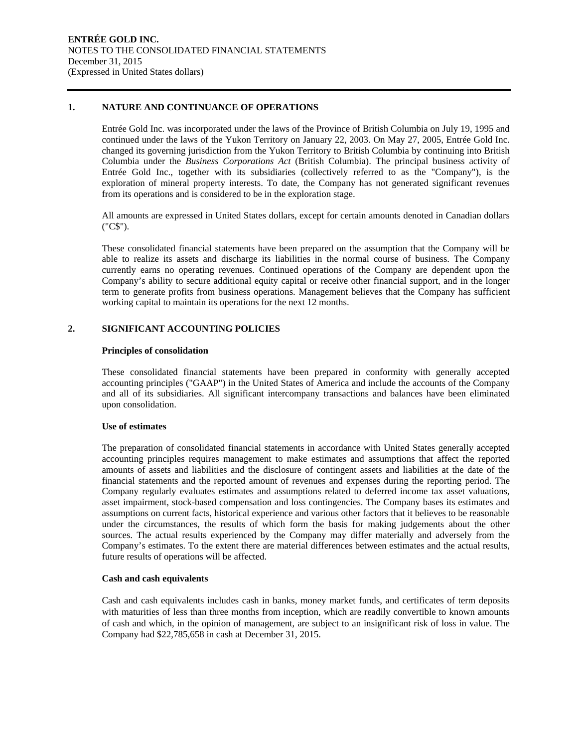#### **1. NATURE AND CONTINUANCE OF OPERATIONS**

Entrée Gold Inc. was incorporated under the laws of the Province of British Columbia on July 19, 1995 and continued under the laws of the Yukon Territory on January 22, 2003. On May 27, 2005, Entrée Gold Inc. changed its governing jurisdiction from the Yukon Territory to British Columbia by continuing into British Columbia under the *Business Corporations Act* (British Columbia). The principal business activity of Entrée Gold Inc., together with its subsidiaries (collectively referred to as the "Company"), is the exploration of mineral property interests. To date, the Company has not generated significant revenues from its operations and is considered to be in the exploration stage.

All amounts are expressed in United States dollars, except for certain amounts denoted in Canadian dollars ("C\$").

These consolidated financial statements have been prepared on the assumption that the Company will be able to realize its assets and discharge its liabilities in the normal course of business. The Company currently earns no operating revenues. Continued operations of the Company are dependent upon the Company's ability to secure additional equity capital or receive other financial support, and in the longer term to generate profits from business operations. Management believes that the Company has sufficient working capital to maintain its operations for the next 12 months.

#### **2. SIGNIFICANT ACCOUNTING POLICIES**

#### **Principles of consolidation**

These consolidated financial statements have been prepared in conformity with generally accepted accounting principles ("GAAP") in the United States of America and include the accounts of the Company and all of its subsidiaries. All significant intercompany transactions and balances have been eliminated upon consolidation.

#### **Use of estimates**

The preparation of consolidated financial statements in accordance with United States generally accepted accounting principles requires management to make estimates and assumptions that affect the reported amounts of assets and liabilities and the disclosure of contingent assets and liabilities at the date of the financial statements and the reported amount of revenues and expenses during the reporting period. The Company regularly evaluates estimates and assumptions related to deferred income tax asset valuations, asset impairment, stock-based compensation and loss contingencies. The Company bases its estimates and assumptions on current facts, historical experience and various other factors that it believes to be reasonable under the circumstances, the results of which form the basis for making judgements about the other sources. The actual results experienced by the Company may differ materially and adversely from the Company's estimates. To the extent there are material differences between estimates and the actual results, future results of operations will be affected.

#### **Cash and cash equivalents**

Cash and cash equivalents includes cash in banks, money market funds, and certificates of term deposits with maturities of less than three months from inception, which are readily convertible to known amounts of cash and which, in the opinion of management, are subject to an insignificant risk of loss in value. The Company had \$22,785,658 in cash at December 31, 2015.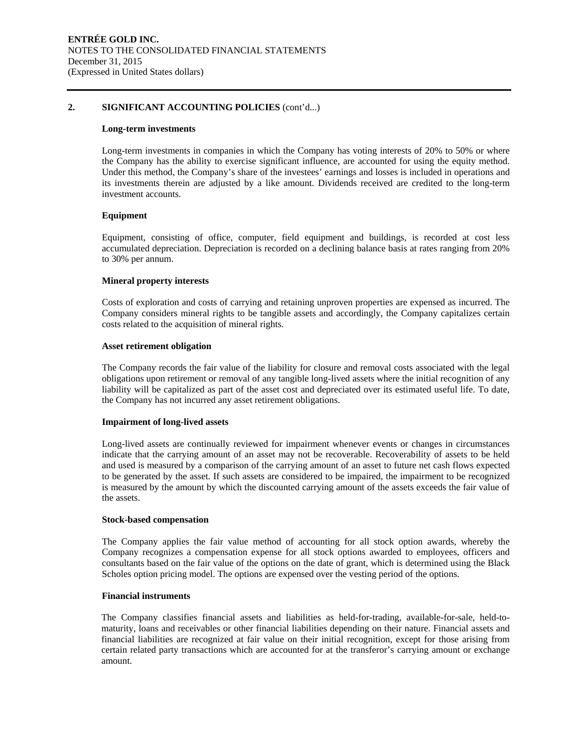#### **2. SIGNIFICANT ACCOUNTING POLICIES** (cont'd...)

#### **Long-term investments**

Long-term investments in companies in which the Company has voting interests of 20% to 50% or where the Company has the ability to exercise significant influence, are accounted for using the equity method. Under this method, the Company's share of the investees' earnings and losses is included in operations and its investments therein are adjusted by a like amount. Dividends received are credited to the long-term investment accounts.

#### **Equipment**

Equipment, consisting of office, computer, field equipment and buildings, is recorded at cost less accumulated depreciation. Depreciation is recorded on a declining balance basis at rates ranging from 20% to 30% per annum.

#### **Mineral property interests**

Costs of exploration and costs of carrying and retaining unproven properties are expensed as incurred. The Company considers mineral rights to be tangible assets and accordingly, the Company capitalizes certain costs related to the acquisition of mineral rights.

#### **Asset retirement obligation**

The Company records the fair value of the liability for closure and removal costs associated with the legal obligations upon retirement or removal of any tangible long-lived assets where the initial recognition of any liability will be capitalized as part of the asset cost and depreciated over its estimated useful life. To date, the Company has not incurred any asset retirement obligations.

#### **Impairment of long-lived assets**

Long-lived assets are continually reviewed for impairment whenever events or changes in circumstances indicate that the carrying amount of an asset may not be recoverable. Recoverability of assets to be held and used is measured by a comparison of the carrying amount of an asset to future net cash flows expected to be generated by the asset. If such assets are considered to be impaired, the impairment to be recognized is measured by the amount by which the discounted carrying amount of the assets exceeds the fair value of the assets.

#### **Stock-based compensation**

The Company applies the fair value method of accounting for all stock option awards, whereby the Company recognizes a compensation expense for all stock options awarded to employees, officers and consultants based on the fair value of the options on the date of grant, which is determined using the Black Scholes option pricing model. The options are expensed over the vesting period of the options.

#### **Financial instruments**

The Company classifies financial assets and liabilities as held-for-trading, available-for-sale, held-tomaturity, loans and receivables or other financial liabilities depending on their nature. Financial assets and financial liabilities are recognized at fair value on their initial recognition, except for those arising from certain related party transactions which are accounted for at the transferor's carrying amount or exchange amount.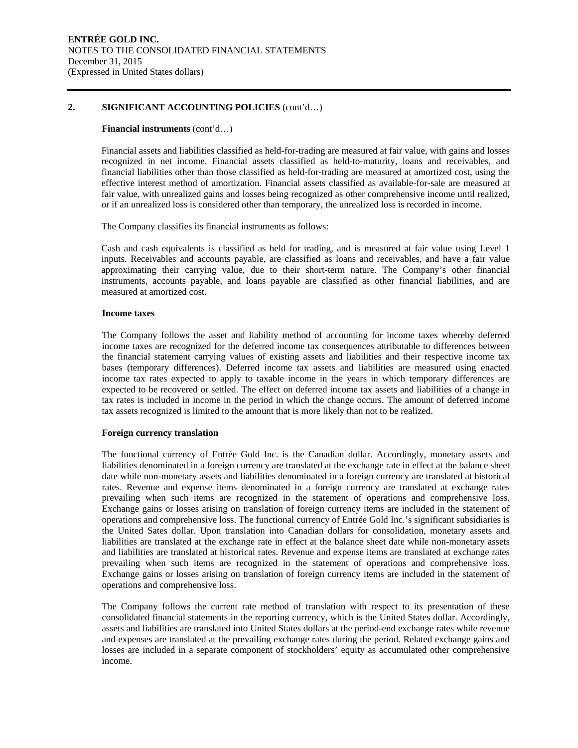#### **2. SIGNIFICANT ACCOUNTING POLICIES** (cont'd…)

#### **Financial instruments** (cont'd…)

Financial assets and liabilities classified as held-for-trading are measured at fair value, with gains and losses recognized in net income. Financial assets classified as held-to-maturity, loans and receivables, and financial liabilities other than those classified as held-for-trading are measured at amortized cost, using the effective interest method of amortization. Financial assets classified as available-for-sale are measured at fair value, with unrealized gains and losses being recognized as other comprehensive income until realized, or if an unrealized loss is considered other than temporary, the unrealized loss is recorded in income.

The Company classifies its financial instruments as follows:

Cash and cash equivalents is classified as held for trading, and is measured at fair value using Level 1 inputs. Receivables and accounts payable, are classified as loans and receivables, and have a fair value approximating their carrying value, due to their short-term nature. The Company's other financial instruments, accounts payable, and loans payable are classified as other financial liabilities, and are measured at amortized cost.

#### **Income taxes**

The Company follows the asset and liability method of accounting for income taxes whereby deferred income taxes are recognized for the deferred income tax consequences attributable to differences between the financial statement carrying values of existing assets and liabilities and their respective income tax bases (temporary differences). Deferred income tax assets and liabilities are measured using enacted income tax rates expected to apply to taxable income in the years in which temporary differences are expected to be recovered or settled. The effect on deferred income tax assets and liabilities of a change in tax rates is included in income in the period in which the change occurs. The amount of deferred income tax assets recognized is limited to the amount that is more likely than not to be realized.

#### **Foreign currency translation**

The functional currency of Entrée Gold Inc. is the Canadian dollar. Accordingly, monetary assets and liabilities denominated in a foreign currency are translated at the exchange rate in effect at the balance sheet date while non-monetary assets and liabilities denominated in a foreign currency are translated at historical rates. Revenue and expense items denominated in a foreign currency are translated at exchange rates prevailing when such items are recognized in the statement of operations and comprehensive loss. Exchange gains or losses arising on translation of foreign currency items are included in the statement of operations and comprehensive loss. The functional currency of Entrée Gold Inc.'s significant subsidiaries is the United Sates dollar. Upon translation into Canadian dollars for consolidation, monetary assets and liabilities are translated at the exchange rate in effect at the balance sheet date while non-monetary assets and liabilities are translated at historical rates. Revenue and expense items are translated at exchange rates prevailing when such items are recognized in the statement of operations and comprehensive loss. Exchange gains or losses arising on translation of foreign currency items are included in the statement of operations and comprehensive loss.

The Company follows the current rate method of translation with respect to its presentation of these consolidated financial statements in the reporting currency, which is the United States dollar. Accordingly, assets and liabilities are translated into United States dollars at the period-end exchange rates while revenue and expenses are translated at the prevailing exchange rates during the period. Related exchange gains and losses are included in a separate component of stockholders' equity as accumulated other comprehensive income.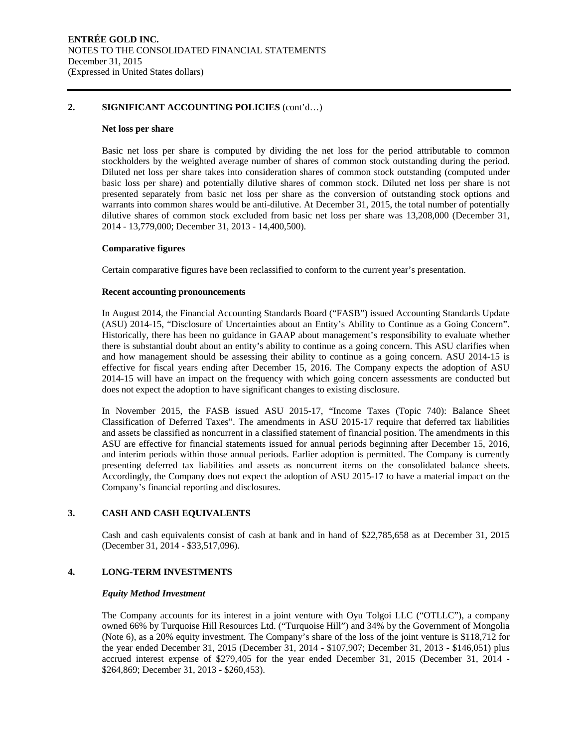#### **2. SIGNIFICANT ACCOUNTING POLICIES** (cont'd…)

#### **Net loss per share**

Basic net loss per share is computed by dividing the net loss for the period attributable to common stockholders by the weighted average number of shares of common stock outstanding during the period. Diluted net loss per share takes into consideration shares of common stock outstanding (computed under basic loss per share) and potentially dilutive shares of common stock. Diluted net loss per share is not presented separately from basic net loss per share as the conversion of outstanding stock options and warrants into common shares would be anti-dilutive. At December 31, 2015, the total number of potentially dilutive shares of common stock excluded from basic net loss per share was 13,208,000 (December 31, 2014 - 13,779,000; December 31, 2013 - 14,400,500).

#### **Comparative figures**

Certain comparative figures have been reclassified to conform to the current year's presentation.

#### **Recent accounting pronouncements**

In August 2014, the Financial Accounting Standards Board ("FASB") issued Accounting Standards Update (ASU) 2014-15, "Disclosure of Uncertainties about an Entity's Ability to Continue as a Going Concern". Historically, there has been no guidance in GAAP about management's responsibility to evaluate whether there is substantial doubt about an entity's ability to continue as a going concern. This ASU clarifies when and how management should be assessing their ability to continue as a going concern. ASU 2014-15 is effective for fiscal years ending after December 15, 2016. The Company expects the adoption of ASU 2014-15 will have an impact on the frequency with which going concern assessments are conducted but does not expect the adoption to have significant changes to existing disclosure.

In November 2015, the FASB issued ASU 2015-17, "Income Taxes (Topic 740): Balance Sheet Classification of Deferred Taxes". The amendments in ASU 2015-17 require that deferred tax liabilities and assets be classified as noncurrent in a classified statement of financial position. The amendments in this ASU are effective for financial statements issued for annual periods beginning after December 15, 2016, and interim periods within those annual periods. Earlier adoption is permitted. The Company is currently presenting deferred tax liabilities and assets as noncurrent items on the consolidated balance sheets. Accordingly, the Company does not expect the adoption of ASU 2015-17 to have a material impact on the Company's financial reporting and disclosures.

### **3. CASH AND CASH EQUIVALENTS**

Cash and cash equivalents consist of cash at bank and in hand of \$22,785,658 as at December 31, 2015 (December 31, 2014 - \$33,517,096).

### **4. LONG-TERM INVESTMENTS**

#### *Equity Method Investment*

The Company accounts for its interest in a joint venture with Oyu Tolgoi LLC ("OTLLC"), a company owned 66% by Turquoise Hill Resources Ltd. ("Turquoise Hill") and 34% by the Government of Mongolia (Note 6), as a 20% equity investment. The Company's share of the loss of the joint venture is \$118,712 for the year ended December 31, 2015 (December 31, 2014 - \$107,907; December 31, 2013 - \$146,051) plus accrued interest expense of \$279,405 for the year ended December 31, 2015 (December 31, 2014 - \$264,869; December 31, 2013 - \$260,453).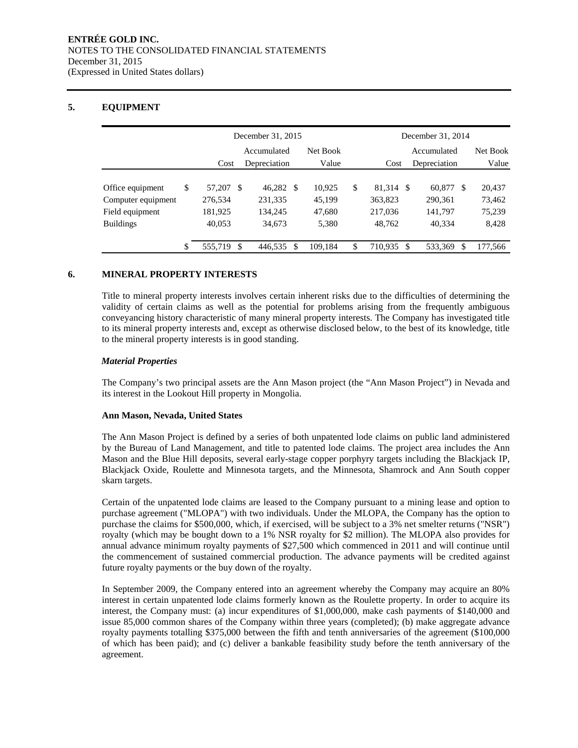## **5. EQUIPMENT**

|                    |               | December 31, 2015       |           |       |         |             | December 31, 2014 |              |         |          |         |
|--------------------|---------------|-------------------------|-----------|-------|---------|-------------|-------------------|--------------|---------|----------|---------|
|                    |               | Net Book<br>Accumulated |           |       |         | Accumulated |                   |              |         | Net Book |         |
|                    |               | Cost<br>Depreciation    |           | Value |         | Cost        |                   | Depreciation |         | Value    |         |
|                    |               |                         |           |       |         |             |                   |              |         |          |         |
| Office equipment   | \$<br>57,207  | -8                      | 46,282 \$ |       | 10.925  | \$          | 81,314 \$         |              | 60,877  | -S       | 20,437  |
| Computer equipment | 276.534       |                         | 231,335   |       | 45,199  |             | 363,823           |              | 290,361 |          | 73,462  |
| Field equipment    | 181,925       |                         | 134,245   |       | 47,680  |             | 217,036           |              | 141,797 |          | 75,239  |
| <b>Buildings</b>   | 40,053        |                         | 34,673    |       | 5,380   |             | 48,762            |              | 40,334  |          | 8,428   |
|                    |               |                         |           |       |         |             |                   |              |         |          |         |
|                    | \$<br>555,719 | \$                      | 446,535   |       | 109.184 | \$          | 710.935           | -\$          | 533,369 | \$       | 177,566 |

#### **6. MINERAL PROPERTY INTERESTS**

Title to mineral property interests involves certain inherent risks due to the difficulties of determining the validity of certain claims as well as the potential for problems arising from the frequently ambiguous conveyancing history characteristic of many mineral property interests. The Company has investigated title to its mineral property interests and, except as otherwise disclosed below, to the best of its knowledge, title to the mineral property interests is in good standing.

#### *Material Properties*

The Company's two principal assets are the Ann Mason project (the "Ann Mason Project") in Nevada and its interest in the Lookout Hill property in Mongolia.

#### **Ann Mason, Nevada, United States**

The Ann Mason Project is defined by a series of both unpatented lode claims on public land administered by the Bureau of Land Management, and title to patented lode claims. The project area includes the Ann Mason and the Blue Hill deposits, several early-stage copper porphyry targets including the Blackjack IP, Blackjack Oxide, Roulette and Minnesota targets, and the Minnesota, Shamrock and Ann South copper skarn targets.

Certain of the unpatented lode claims are leased to the Company pursuant to a mining lease and option to purchase agreement ("MLOPA") with two individuals. Under the MLOPA, the Company has the option to purchase the claims for \$500,000, which, if exercised, will be subject to a 3% net smelter returns ("NSR") royalty (which may be bought down to a 1% NSR royalty for \$2 million). The MLOPA also provides for annual advance minimum royalty payments of \$27,500 which commenced in 2011 and will continue until the commencement of sustained commercial production. The advance payments will be credited against future royalty payments or the buy down of the royalty.

In September 2009, the Company entered into an agreement whereby the Company may acquire an 80% interest in certain unpatented lode claims formerly known as the Roulette property. In order to acquire its interest, the Company must: (a) incur expenditures of \$1,000,000, make cash payments of \$140,000 and issue 85,000 common shares of the Company within three years (completed); (b) make aggregate advance royalty payments totalling \$375,000 between the fifth and tenth anniversaries of the agreement (\$100,000 of which has been paid); and (c) deliver a bankable feasibility study before the tenth anniversary of the agreement.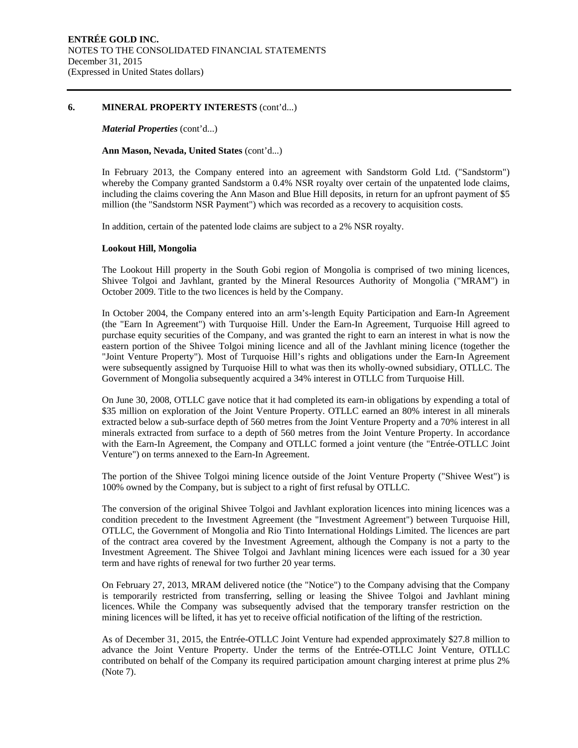#### **6. MINERAL PROPERTY INTERESTS** (cont'd...)

#### *Material Properties* (cont'd...)

#### **Ann Mason, Nevada, United States** (cont'd...)

In February 2013, the Company entered into an agreement with Sandstorm Gold Ltd. ("Sandstorm") whereby the Company granted Sandstorm a 0.4% NSR royalty over certain of the unpatented lode claims, including the claims covering the Ann Mason and Blue Hill deposits, in return for an upfront payment of \$5 million (the "Sandstorm NSR Payment") which was recorded as a recovery to acquisition costs.

In addition, certain of the patented lode claims are subject to a 2% NSR royalty.

#### **Lookout Hill, Mongolia**

The Lookout Hill property in the South Gobi region of Mongolia is comprised of two mining licences, Shivee Tolgoi and Javhlant, granted by the Mineral Resources Authority of Mongolia ("MRAM") in October 2009. Title to the two licences is held by the Company.

In October 2004, the Company entered into an arm's-length Equity Participation and Earn-In Agreement (the "Earn In Agreement") with Turquoise Hill. Under the Earn-In Agreement, Turquoise Hill agreed to purchase equity securities of the Company, and was granted the right to earn an interest in what is now the eastern portion of the Shivee Tolgoi mining licence and all of the Javhlant mining licence (together the "Joint Venture Property"). Most of Turquoise Hill's rights and obligations under the Earn-In Agreement were subsequently assigned by Turquoise Hill to what was then its wholly-owned subsidiary, OTLLC. The Government of Mongolia subsequently acquired a 34% interest in OTLLC from Turquoise Hill.

On June 30, 2008, OTLLC gave notice that it had completed its earn-in obligations by expending a total of \$35 million on exploration of the Joint Venture Property. OTLLC earned an 80% interest in all minerals extracted below a sub-surface depth of 560 metres from the Joint Venture Property and a 70% interest in all minerals extracted from surface to a depth of 560 metres from the Joint Venture Property. In accordance with the Earn-In Agreement, the Company and OTLLC formed a joint venture (the "Entrée-OTLLC Joint Venture") on terms annexed to the Earn-In Agreement.

The portion of the Shivee Tolgoi mining licence outside of the Joint Venture Property ("Shivee West") is 100% owned by the Company, but is subject to a right of first refusal by OTLLC.

The conversion of the original Shivee Tolgoi and Javhlant exploration licences into mining licences was a condition precedent to the Investment Agreement (the "Investment Agreement") between Turquoise Hill, OTLLC, the Government of Mongolia and Rio Tinto International Holdings Limited. The licences are part of the contract area covered by the Investment Agreement, although the Company is not a party to the Investment Agreement. The Shivee Tolgoi and Javhlant mining licences were each issued for a 30 year term and have rights of renewal for two further 20 year terms.

On February 27, 2013, MRAM delivered notice (the "Notice") to the Company advising that the Company is temporarily restricted from transferring, selling or leasing the Shivee Tolgoi and Javhlant mining licences. While the Company was subsequently advised that the temporary transfer restriction on the mining licences will be lifted, it has yet to receive official notification of the lifting of the restriction.

As of December 31, 2015, the Entrée-OTLLC Joint Venture had expended approximately \$27.8 million to advance the Joint Venture Property. Under the terms of the Entrée-OTLLC Joint Venture, OTLLC contributed on behalf of the Company its required participation amount charging interest at prime plus 2% (Note 7).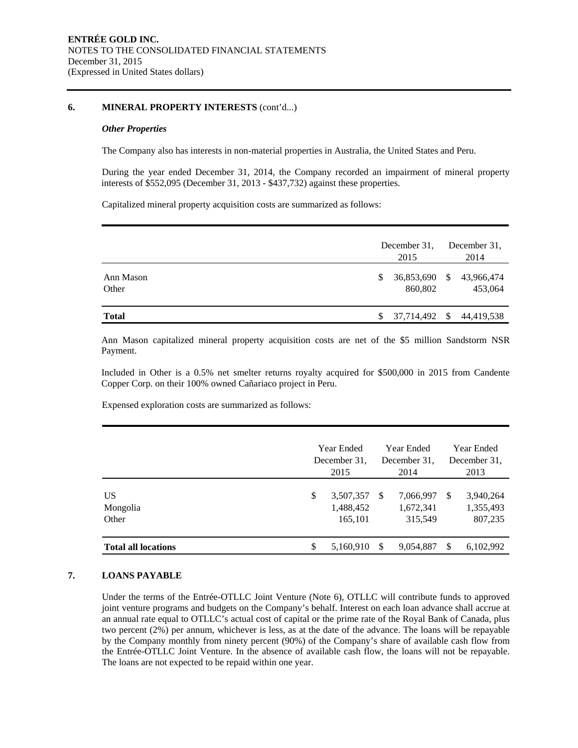#### **6. MINERAL PROPERTY INTERESTS** (cont'd...)

#### *Other Properties*

The Company also has interests in non-material properties in Australia, the United States and Peru.

During the year ended December 31, 2014, the Company recorded an impairment of mineral property interests of \$552,095 (December 31, 2013 - \$437,732) against these properties.

Capitalized mineral property acquisition costs are summarized as follows:

|                    |    | December 31,<br>2015     | December 31.<br>2014  |
|--------------------|----|--------------------------|-----------------------|
| Ann Mason<br>Other | S. | 36,853,690 \$<br>860,802 | 43,966,474<br>453,064 |
| <b>Total</b>       | S. | 37,714,492 \$            | 44,419,538            |

Ann Mason capitalized mineral property acquisition costs are net of the \$5 million Sandstorm NSR Payment.

Included in Other is a 0.5% net smelter returns royalty acquired for \$500,000 in 2015 from Candente Copper Corp. on their 100% owned Cañariaco project in Peru.

Expensed exploration costs are summarized as follows:

|                            | Year Ended<br>Year Ended<br>December 31.<br>December 31.<br>2015<br>2014 |                                   |     |                                   | Year Ended<br>December 31.<br>2013 |                                   |
|----------------------------|--------------------------------------------------------------------------|-----------------------------------|-----|-----------------------------------|------------------------------------|-----------------------------------|
| US<br>Mongolia<br>Other    | S                                                                        | 3,507,357<br>1,488,452<br>165,101 | - S | 7,066,997<br>1,672,341<br>315,549 | -S                                 | 3,940,264<br>1,355,493<br>807,235 |
| <b>Total all locations</b> | \$                                                                       | 5,160,910                         |     | 9,054,887                         | \$.                                | 6,102,992                         |

### **7. LOANS PAYABLE**

Under the terms of the Entrée-OTLLC Joint Venture (Note 6), OTLLC will contribute funds to approved joint venture programs and budgets on the Company's behalf. Interest on each loan advance shall accrue at an annual rate equal to OTLLC's actual cost of capital or the prime rate of the Royal Bank of Canada, plus two percent (2%) per annum, whichever is less, as at the date of the advance. The loans will be repayable by the Company monthly from ninety percent (90%) of the Company's share of available cash flow from the Entrée-OTLLC Joint Venture. In the absence of available cash flow, the loans will not be repayable. The loans are not expected to be repaid within one year.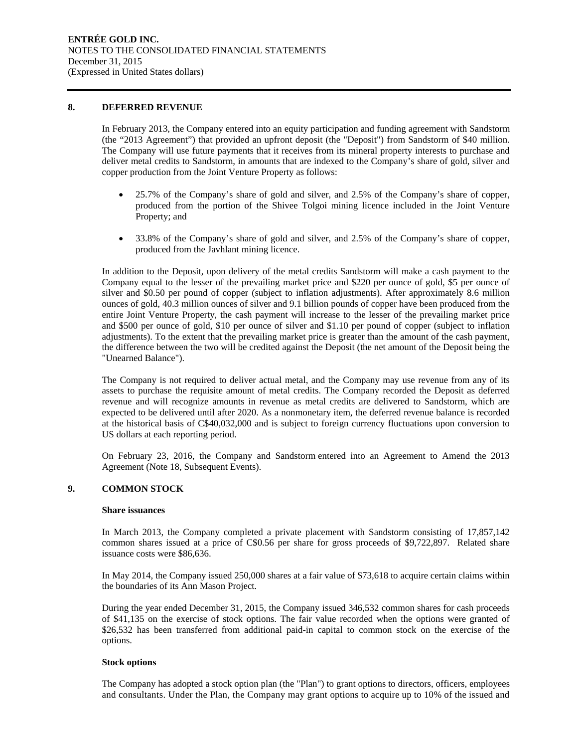#### **8. DEFERRED REVENUE**

In February 2013, the Company entered into an equity participation and funding agreement with Sandstorm (the "2013 Agreement") that provided an upfront deposit (the "Deposit") from Sandstorm of \$40 million. The Company will use future payments that it receives from its mineral property interests to purchase and deliver metal credits to Sandstorm, in amounts that are indexed to the Company's share of gold, silver and copper production from the Joint Venture Property as follows:

- 25.7% of the Company's share of gold and silver, and 2.5% of the Company's share of copper, produced from the portion of the Shivee Tolgoi mining licence included in the Joint Venture Property; and
- 33.8% of the Company's share of gold and silver, and 2.5% of the Company's share of copper, produced from the Javhlant mining licence.

In addition to the Deposit, upon delivery of the metal credits Sandstorm will make a cash payment to the Company equal to the lesser of the prevailing market price and \$220 per ounce of gold, \$5 per ounce of silver and \$0.50 per pound of copper (subject to inflation adjustments). After approximately 8.6 million ounces of gold, 40.3 million ounces of silver and 9.1 billion pounds of copper have been produced from the entire Joint Venture Property, the cash payment will increase to the lesser of the prevailing market price and \$500 per ounce of gold, \$10 per ounce of silver and \$1.10 per pound of copper (subject to inflation adjustments). To the extent that the prevailing market price is greater than the amount of the cash payment, the difference between the two will be credited against the Deposit (the net amount of the Deposit being the "Unearned Balance").

The Company is not required to deliver actual metal, and the Company may use revenue from any of its assets to purchase the requisite amount of metal credits. The Company recorded the Deposit as deferred revenue and will recognize amounts in revenue as metal credits are delivered to Sandstorm, which are expected to be delivered until after 2020. As a nonmonetary item, the deferred revenue balance is recorded at the historical basis of C\$40,032,000 and is subject to foreign currency fluctuations upon conversion to US dollars at each reporting period.

On February 23, 2016, the Company and Sandstorm entered into an Agreement to Amend the 2013 Agreement (Note 18, Subsequent Events).

## **9. COMMON STOCK**

#### **Share issuances**

In March 2013, the Company completed a private placement with Sandstorm consisting of 17,857,142 common shares issued at a price of C\$0.56 per share for gross proceeds of \$9,722,897. Related share issuance costs were \$86,636.

In May 2014, the Company issued 250,000 shares at a fair value of \$73,618 to acquire certain claims within the boundaries of its Ann Mason Project.

During the year ended December 31, 2015, the Company issued 346,532 common shares for cash proceeds of \$41,135 on the exercise of stock options. The fair value recorded when the options were granted of \$26,532 has been transferred from additional paid-in capital to common stock on the exercise of the options.

#### **Stock options**

The Company has adopted a stock option plan (the "Plan") to grant options to directors, officers, employees and consultants. Under the Plan, the Company may grant options to acquire up to 10% of the issued and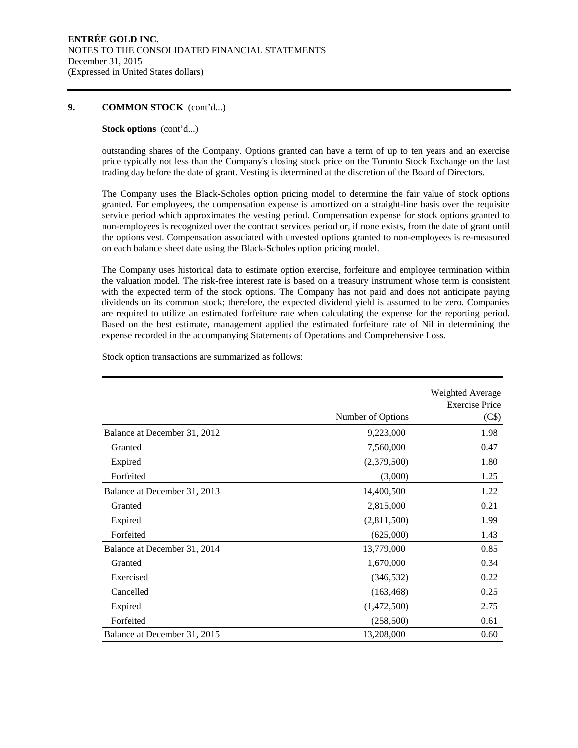#### **9. COMMON STOCK** (cont'd...)

#### **Stock options** (cont'd...)

outstanding shares of the Company. Options granted can have a term of up to ten years and an exercise price typically not less than the Company's closing stock price on the Toronto Stock Exchange on the last trading day before the date of grant. Vesting is determined at the discretion of the Board of Directors.

The Company uses the Black-Scholes option pricing model to determine the fair value of stock options granted. For employees, the compensation expense is amortized on a straight-line basis over the requisite service period which approximates the vesting period. Compensation expense for stock options granted to non-employees is recognized over the contract services period or, if none exists, from the date of grant until the options vest. Compensation associated with unvested options granted to non-employees is re-measured on each balance sheet date using the Black-Scholes option pricing model.

The Company uses historical data to estimate option exercise, forfeiture and employee termination within the valuation model. The risk-free interest rate is based on a treasury instrument whose term is consistent with the expected term of the stock options. The Company has not paid and does not anticipate paying dividends on its common stock; therefore, the expected dividend yield is assumed to be zero. Companies are required to utilize an estimated forfeiture rate when calculating the expense for the reporting period. Based on the best estimate, management applied the estimated forfeiture rate of Nil in determining the expense recorded in the accompanying Statements of Operations and Comprehensive Loss.

|                              | Number of Options | Weighted Average<br><b>Exercise Price</b><br>(C\$) |
|------------------------------|-------------------|----------------------------------------------------|
|                              |                   |                                                    |
| Balance at December 31, 2012 | 9,223,000         | 1.98                                               |
| Granted                      | 7,560,000         | 0.47                                               |
| Expired                      | (2,379,500)       | 1.80                                               |
| Forfeited                    | (3,000)           | 1.25                                               |
| Balance at December 31, 2013 | 14,400,500        | 1.22                                               |
| Granted                      | 2,815,000         | 0.21                                               |
| Expired                      | (2,811,500)       | 1.99                                               |
| Forfeited                    | (625,000)         | 1.43                                               |
| Balance at December 31, 2014 | 13,779,000        | 0.85                                               |
| Granted                      | 1,670,000         | 0.34                                               |
| Exercised                    | (346, 532)        | 0.22                                               |
| Cancelled                    | (163, 468)        | 0.25                                               |
| Expired                      | (1,472,500)       | 2.75                                               |
| Forfeited                    | (258, 500)        | 0.61                                               |
| Balance at December 31, 2015 | 13,208,000        | 0.60                                               |

Stock option transactions are summarized as follows: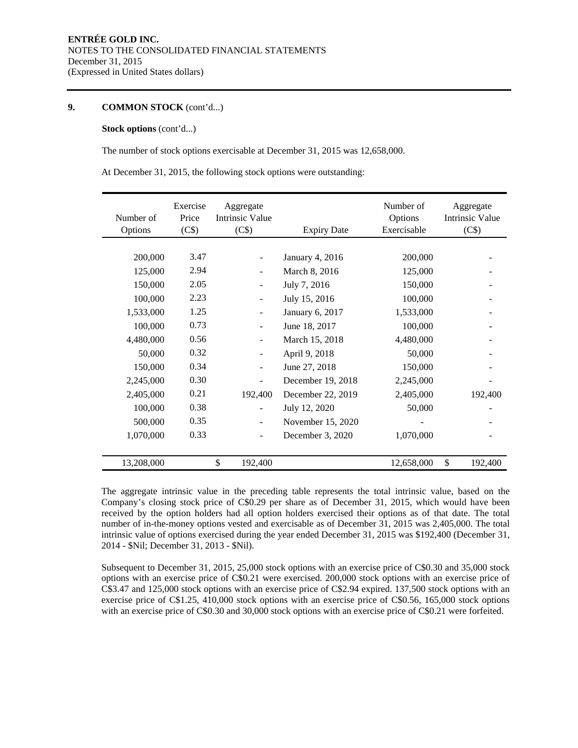#### **9. COMMON STOCK** (cont'd...)

#### **Stock options** (cont'd...)

The number of stock options exercisable at December 31, 2015 was 12,658,000.

At December 31, 2015, the following stock options were outstanding:

| Number of<br>Options | Exercise<br>Price<br>(C\$) | Aggregate<br><b>Intrinsic Value</b><br>(C\$) | <b>Expiry Date</b>     | Number of<br>Options<br>Exercisable | Aggregate<br><b>Intrinsic Value</b><br>(C\$) |
|----------------------|----------------------------|----------------------------------------------|------------------------|-------------------------------------|----------------------------------------------|
|                      |                            |                                              |                        |                                     |                                              |
| 200,000              | 3.47                       |                                              | <b>January 4, 2016</b> | 200,000                             |                                              |
| 125,000              | 2.94                       |                                              | March 8, 2016          | 125,000                             |                                              |
| 150,000              | 2.05                       |                                              | July 7, 2016           | 150,000                             |                                              |
| 100,000              | 2.23                       |                                              | July 15, 2016          | 100,000                             |                                              |
| 1,533,000            | 1.25                       | $\overline{\phantom{a}}$                     | January 6, 2017        | 1,533,000                           |                                              |
| 100,000              | 0.73                       | $\overline{\phantom{a}}$                     | June 18, 2017          | 100,000                             |                                              |
| 4,480,000            | 0.56                       |                                              | March 15, 2018         | 4,480,000                           |                                              |
| 50,000               | 0.32                       |                                              | April 9, 2018          | 50,000                              |                                              |
| 150,000              | 0.34                       |                                              | June 27, 2018          | 150,000                             |                                              |
| 2,245,000            | 0.30                       |                                              | December 19, 2018      | 2,245,000                           |                                              |
| 2,405,000            | 0.21                       | 192,400                                      | December 22, 2019      | 2,405,000                           | 192,400                                      |
| 100,000              | 0.38                       | $\overline{\phantom{0}}$                     | July 12, 2020          | 50,000                              |                                              |
| 500,000              | 0.35                       | ٠                                            | November 15, 2020      |                                     |                                              |
| 1,070,000            | 0.33                       | $\overline{\phantom{0}}$                     | December 3, 2020       | 1,070,000                           |                                              |
|                      |                            |                                              |                        |                                     |                                              |
| 13,208,000           |                            | \$<br>192,400                                |                        | 12,658,000                          | \$<br>192,400                                |

The aggregate intrinsic value in the preceding table represents the total intrinsic value, based on the Company's closing stock price of C\$0.29 per share as of December 31, 2015, which would have been received by the option holders had all option holders exercised their options as of that date. The total number of in-the-money options vested and exercisable as of December 31, 2015 was 2,405,000. The total intrinsic value of options exercised during the year ended December 31, 2015 was \$192,400 (December 31, 2014 - \$Nil; December 31, 2013 - \$Nil).

Subsequent to December 31, 2015, 25,000 stock options with an exercise price of C\$0.30 and 35,000 stock options with an exercise price of C\$0.21 were exercised. 200,000 stock options with an exercise price of C\$3.47 and 125,000 stock options with an exercise price of C\$2.94 expired. 137,500 stock options with an exercise price of C\$1.25, 410,000 stock options with an exercise price of C\$0.56, 165,000 stock options with an exercise price of C\$0.30 and 30,000 stock options with an exercise price of C\$0.21 were forfeited.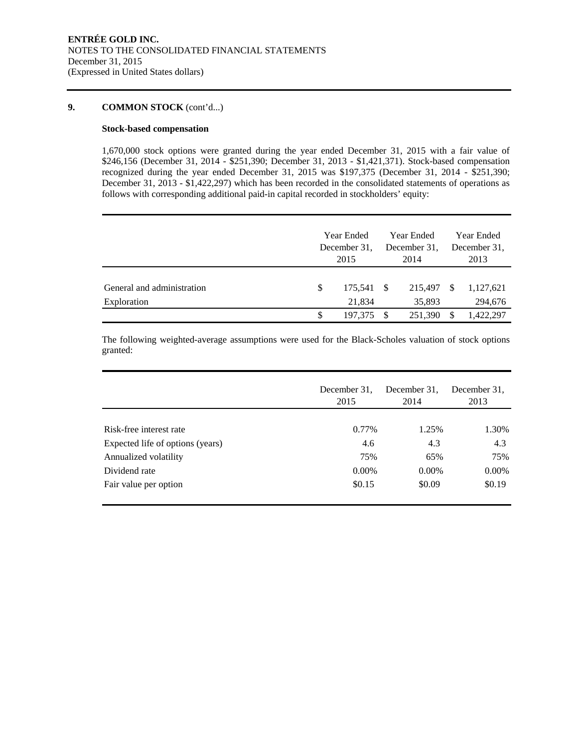#### **9. COMMON STOCK** (cont'd...)

#### **Stock-based compensation**

1,670,000 stock options were granted during the year ended December 31, 2015 with a fair value of \$246,156 (December 31, 2014 - \$251,390; December 31, 2013 - \$1,421,371). Stock-based compensation recognized during the year ended December 31, 2015 was \$197,375 (December 31, 2014 - \$251,390; December 31, 2013 - \$1,422,297) which has been recorded in the consolidated statements of operations as follows with corresponding additional paid-in capital recorded in stockholders' equity:

|                                           | Year Ended<br>December 31.<br>2015 |         |      | Year Ended<br>December 31.<br>2014 | <b>Year Ended</b><br>December 31.<br>2013 |                      |  |
|-------------------------------------------|------------------------------------|---------|------|------------------------------------|-------------------------------------------|----------------------|--|
| General and administration<br>Exploration | S<br>175.541 \$<br>21,834          |         |      | 215,497<br>35,893                  | <sup>S</sup>                              | 1,127,621<br>294,676 |  |
|                                           | S                                  | 197.375 | - \$ | 251,390                            | S                                         | 1,422,297            |  |

The following weighted-average assumptions were used for the Black-Scholes valuation of stock options granted:

|                                  | December 31.<br>2015 | December 31.<br>2014 | December 31.<br>2013 |
|----------------------------------|----------------------|----------------------|----------------------|
|                                  |                      |                      |                      |
| Risk-free interest rate          | 0.77%                | 1.25%                | 1.30%                |
| Expected life of options (years) | 4.6                  | 4.3                  | 4.3                  |
| Annualized volatility            | 75%                  | 65%                  | 75%                  |
| Dividend rate                    | $0.00\%$             | $0.00\%$             | $0.00\%$             |
| Fair value per option            | \$0.15               | \$0.09               | \$0.19               |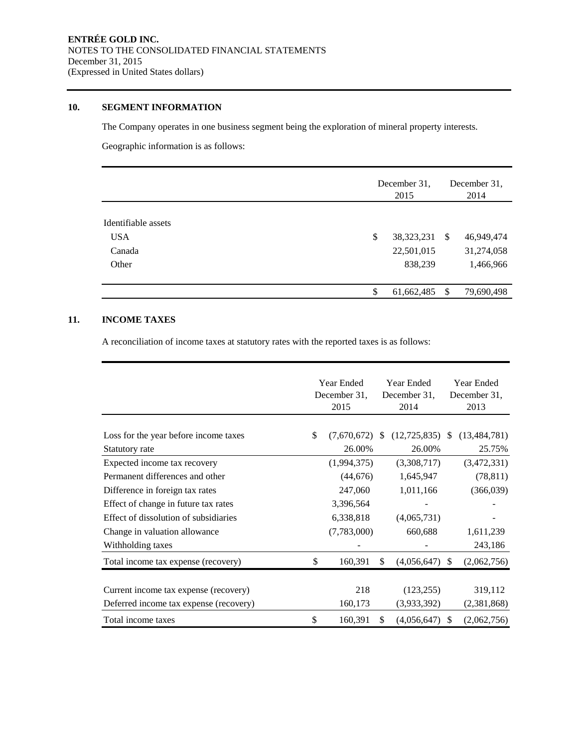## **10. SEGMENT INFORMATION**

The Company operates in one business segment being the exploration of mineral property interests.

Geographic information is as follows:

|                     | December 31,<br>2015 |    | December 31.<br>2014 |
|---------------------|----------------------|----|----------------------|
| Identifiable assets |                      |    |                      |
| <b>USA</b>          | \$<br>38, 323, 231   | -S | 46,949,474           |
| Canada              | 22,501,015           |    | 31,274,058           |
| Other               | 838,239              |    | 1,466,966            |
|                     |                      |    |                      |
|                     | \$<br>61,662,485     | S  | 79,690,498           |

## **11. INCOME TAXES**

A reconciliation of income taxes at statutory rates with the reported taxes is as follows:

|                                        | Year Ended<br>December 31.<br>2015 |               | Year Ended<br>December 31,<br>2014 |               | <b>Year Ended</b><br>December 31,<br>2013 |  |
|----------------------------------------|------------------------------------|---------------|------------------------------------|---------------|-------------------------------------------|--|
| Loss for the year before income taxes  | \$<br>(7,670,672)                  | <sup>\$</sup> | (12, 725, 835)                     | \$.           | (13, 484, 781)                            |  |
| Statutory rate                         | 26.00%                             |               | 26.00%                             |               | 25.75%                                    |  |
| Expected income tax recovery           | (1,994,375)                        |               | (3,308,717)                        |               | (3,472,331)                               |  |
| Permanent differences and other        | (44, 676)                          |               | 1,645,947                          |               | (78, 811)                                 |  |
| Difference in foreign tax rates        | 247,060                            |               | 1,011,166                          |               | (366,039)                                 |  |
| Effect of change in future tax rates   | 3,396,564                          |               |                                    |               |                                           |  |
| Effect of dissolution of subsidiaries  | 6,338,818                          |               | (4,065,731)                        |               |                                           |  |
| Change in valuation allowance          | (7,783,000)                        |               | 660,688                            |               | 1,611,239                                 |  |
| Withholding taxes                      |                                    |               |                                    |               | 243,186                                   |  |
| Total income tax expense (recovery)    | \$<br>160,391                      | \$.           | (4,056,647)                        | <sup>\$</sup> | (2,062,756)                               |  |
|                                        |                                    |               |                                    |               |                                           |  |
| Current income tax expense (recovery)  | 218                                |               | (123, 255)                         |               | 319,112                                   |  |
| Deferred income tax expense (recovery) | 160,173                            |               | (3,933,392)                        |               | (2,381,868)                               |  |
| Total income taxes                     | \$<br>160,391                      | \$.           | (4,056,647)                        | -S            | (2,062,756)                               |  |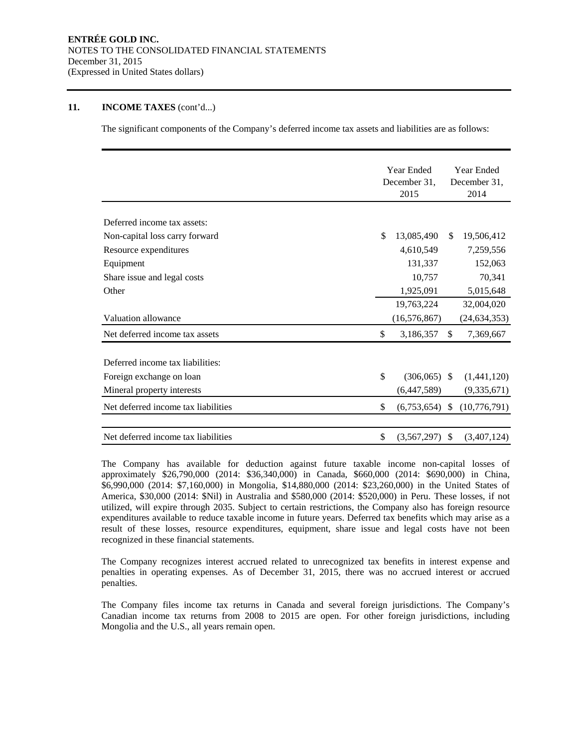#### **11. INCOME TAXES** (cont'd...)

The significant components of the Company's deferred income tax assets and liabilities are as follows:

|                                     | Year Ended           |               | Year Ended     |  |  |
|-------------------------------------|----------------------|---------------|----------------|--|--|
|                                     | December 31,         |               | December 31,   |  |  |
|                                     | 2015                 |               | 2014           |  |  |
|                                     |                      |               |                |  |  |
| Deferred income tax assets:         |                      |               |                |  |  |
| Non-capital loss carry forward      | \$<br>13,085,490     | <sup>\$</sup> | 19,506,412     |  |  |
| Resource expenditures               | 4,610,549            |               | 7,259,556      |  |  |
| Equipment                           | 131,337              |               | 152,063        |  |  |
| Share issue and legal costs         | 10,757               |               | 70,341         |  |  |
| Other                               | 1,925,091            |               | 5,015,648      |  |  |
|                                     | 19,763,224           |               | 32,004,020     |  |  |
| <b>Valuation allowance</b>          | (16, 576, 867)       |               | (24, 634, 353) |  |  |
| Net deferred income tax assets      | \$<br>3,186,357      | $\mathbb{S}$  | 7,369,667      |  |  |
| Deferred income tax liabilities:    |                      |               |                |  |  |
| Foreign exchange on loan            | \$<br>$(306,065)$ \$ |               | (1,441,120)    |  |  |
| Mineral property interests          | (6,447,589)          |               | (9,335,671)    |  |  |
| Net deferred income tax liabilities | \$<br>(6,753,654)    | \$            | (10,776,791)   |  |  |
| Net deferred income tax liabilities | \$<br>(3,567,297)    | \$            | (3,407,124)    |  |  |

The Company has available for deduction against future taxable income non-capital losses of approximately \$26,790,000 (2014: \$36,340,000) in Canada, \$660,000 (2014: \$690,000) in China, \$6,990,000 (2014: \$7,160,000) in Mongolia, \$14,880,000 (2014: \$23,260,000) in the United States of America, \$30,000 (2014: \$Nil) in Australia and \$580,000 (2014: \$520,000) in Peru. These losses, if not utilized, will expire through 2035. Subject to certain restrictions, the Company also has foreign resource expenditures available to reduce taxable income in future years. Deferred tax benefits which may arise as a result of these losses, resource expenditures, equipment, share issue and legal costs have not been recognized in these financial statements.

The Company recognizes interest accrued related to unrecognized tax benefits in interest expense and penalties in operating expenses. As of December 31, 2015, there was no accrued interest or accrued penalties.

The Company files income tax returns in Canada and several foreign jurisdictions. The Company's Canadian income tax returns from 2008 to 2015 are open. For other foreign jurisdictions, including Mongolia and the U.S., all years remain open.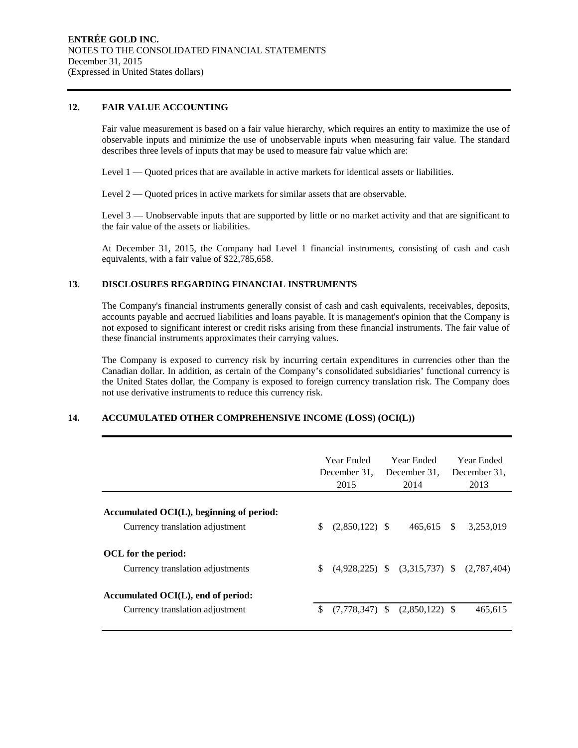#### **12. FAIR VALUE ACCOUNTING**

Fair value measurement is based on a fair value hierarchy, which requires an entity to maximize the use of observable inputs and minimize the use of unobservable inputs when measuring fair value. The standard describes three levels of inputs that may be used to measure fair value which are:

Level 1 — Quoted prices that are available in active markets for identical assets or liabilities.

Level 2 — Quoted prices in active markets for similar assets that are observable.

Level 3 — Unobservable inputs that are supported by little or no market activity and that are significant to the fair value of the assets or liabilities.

At December 31, 2015, the Company had Level 1 financial instruments, consisting of cash and cash equivalents, with a fair value of \$22,785,658.

#### **13. DISCLOSURES REGARDING FINANCIAL INSTRUMENTS**

The Company's financial instruments generally consist of cash and cash equivalents, receivables, deposits, accounts payable and accrued liabilities and loans payable. It is management's opinion that the Company is not exposed to significant interest or credit risks arising from these financial instruments. The fair value of these financial instruments approximates their carrying values.

The Company is exposed to currency risk by incurring certain expenditures in currencies other than the Canadian dollar. In addition, as certain of the Company's consolidated subsidiaries' functional currency is the United States dollar, the Company is exposed to foreign currency translation risk. The Company does not use derivative instruments to reduce this currency risk.

## **14. ACCUMULATED OTHER COMPREHENSIVE INCOME (LOSS) (OCI(L))**

|                                                                                |     | Year Ended<br>December 31.<br>2015 | Year Ended<br>December 31.<br>2014 |               | Year Ended<br>December 31.<br>2013 |
|--------------------------------------------------------------------------------|-----|------------------------------------|------------------------------------|---------------|------------------------------------|
| Accumulated $OCI(L)$ , beginning of period:<br>Currency translation adjustment | \$. | $(2,850,122)$ \$                   | 465,615                            | <sup>\$</sup> | 3,253,019                          |
| OCL for the period:<br>Currency translation adjustments                        | \$  | $(4.928.225)$ \$                   | $(3,315,737)$ \$                   |               | (2,787,404)                        |
| Accumulated OCI(L), end of period:<br>Currency translation adjustment          | \$. | $(7,778,347)$ \$                   | $(2,850,122)$ \$                   |               | 465,615                            |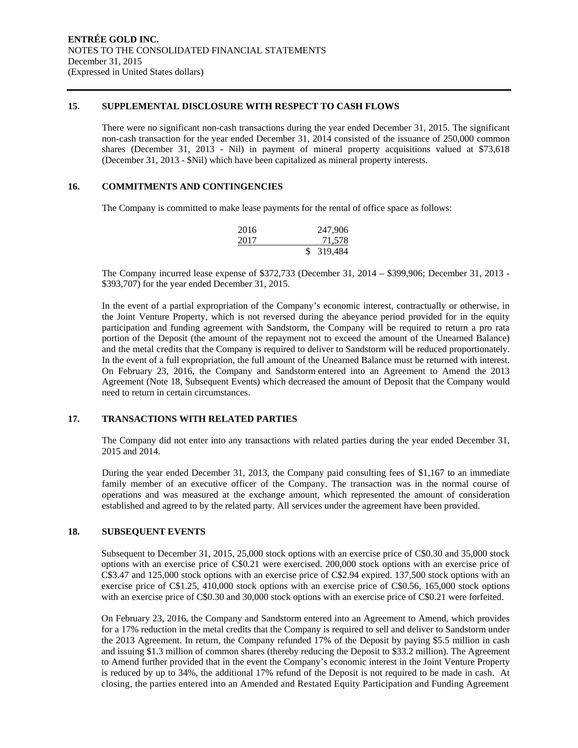#### **15. SUPPLEMENTAL DISCLOSURE WITH RESPECT TO CASH FLOWS**

There were no significant non-cash transactions during the year ended December 31, 2015. The significant non-cash transaction for the year ended December 31, 2014 consisted of the issuance of 250,000 common shares (December 31, 2013 - Nil) in payment of mineral property acquisitions valued at \$73,618 (December 31, 2013 - \$Nil) which have been capitalized as mineral property interests.

#### **16. COMMITMENTS AND CONTINGENCIES**

The Company is committed to make lease payments for the rental of office space as follows:

| 2016 | 247,906    |
|------|------------|
| 2017 | 71,578     |
|      | \$ 319,484 |

The Company incurred lease expense of \$372,733 (December 31, 2014 – \$399,906; December 31, 2013 - \$393,707) for the year ended December 31, 2015.

In the event of a partial expropriation of the Company's economic interest, contractually or otherwise, in the Joint Venture Property, which is not reversed during the abeyance period provided for in the equity participation and funding agreement with Sandstorm, the Company will be required to return a pro rata portion of the Deposit (the amount of the repayment not to exceed the amount of the Unearned Balance) and the metal credits that the Company is required to deliver to Sandstorm will be reduced proportionately. In the event of a full expropriation, the full amount of the Unearned Balance must be returned with interest. On February 23, 2016, the Company and Sandstorm entered into an Agreement to Amend the 2013 Agreement (Note 18, Subsequent Events) which decreased the amount of Deposit that the Company would need to return in certain circumstances.

### **17. TRANSACTIONS WITH RELATED PARTIES**

The Company did not enter into any transactions with related parties during the year ended December 31, 2015 and 2014.

During the year ended December 31, 2013, the Company paid consulting fees of \$1,167 to an immediate family member of an executive officer of the Company. The transaction was in the normal course of operations and was measured at the exchange amount, which represented the amount of consideration established and agreed to by the related party. All services under the agreement have been provided.

#### **18. SUBSEQUENT EVENTS**

Subsequent to December 31, 2015, 25,000 stock options with an exercise price of C\$0.30 and 35,000 stock options with an exercise price of C\$0.21 were exercised. 200,000 stock options with an exercise price of C\$3.47 and 125,000 stock options with an exercise price of C\$2.94 expired. 137,500 stock options with an exercise price of C\$1.25, 410,000 stock options with an exercise price of C\$0.56, 165,000 stock options with an exercise price of C\$0.30 and 30,000 stock options with an exercise price of C\$0.21 were forfeited.

On February 23, 2016, the Company and Sandstorm entered into an Agreement to Amend, which provides for a 17% reduction in the metal credits that the Company is required to sell and deliver to Sandstorm under the 2013 Agreement. In return, the Company refunded 17% of the Deposit by paying \$5.5 million in cash and issuing \$1.3 million of common shares (thereby reducing the Deposit to \$33.2 million). The Agreement to Amend further provided that in the event the Company's economic interest in the Joint Venture Property is reduced by up to 34%, the additional 17% refund of the Deposit is not required to be made in cash. At closing, the parties entered into an Amended and Restated Equity Participation and Funding Agreement